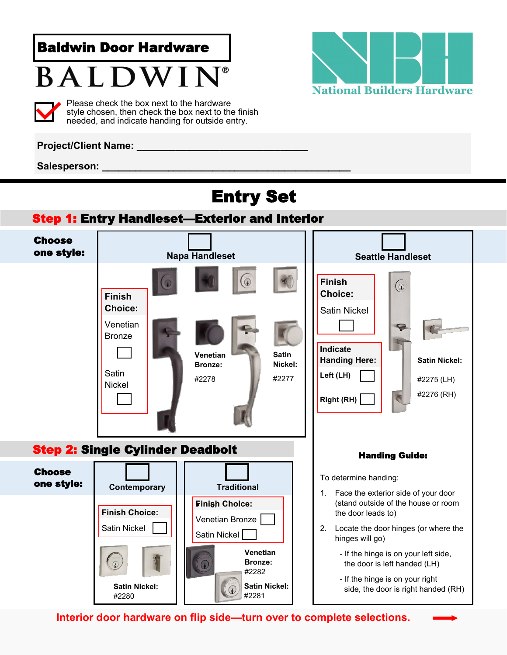Baldwin Door Hardware

# BALDWI



Please check the box next to the hardware style chosen, then check the box next to the finish needed, and indicate handing for outside entry.



### **Project/Client Name: \_\_\_\_\_\_\_\_\_\_\_\_\_\_\_\_\_\_\_\_\_\_\_\_\_\_\_\_\_\_\_**

Salesperson:

### Entry Set





**Interior door hardware on flip side—turn over to complete selections.**